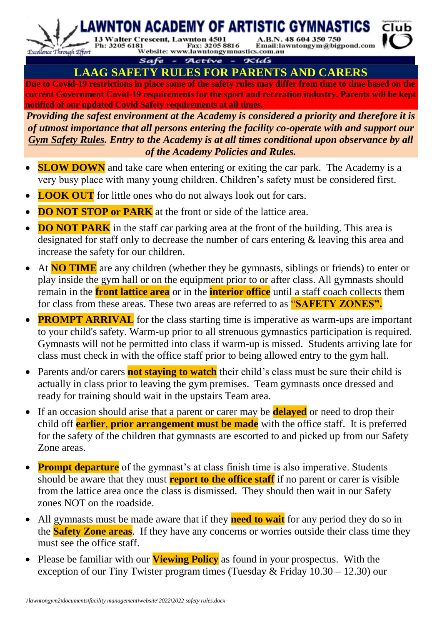A.B.N. 48 604 350 750 Ph: 3205 6181<br>Ph: 3205 6181<br>Website: www.lawntongymnastics.com.au Email:lawntongym@bigpond.com



Excellence Through Effort

13 Walter Cr

#### Safe -Active - Kids **LAAG SAFETY RULES FOR PARENTS AND CARERS**

vnton 4501

(CADEMY OF ARTISTIC GYMN

**Due to Covid-19 restrictions in place some of the safety rules may differ from time to time based on the current Government Covid-19 requirements for the sport and recreation industry. Parents will be kept notified of our updated Covid Safety requirements at all times.**

*Providing the safest environment at the Academy is considered a priority and therefore it is of utmost importance that all persons entering the facility co-operate with and support our Gym Safety Rules. Entry to the Academy is at all times conditional upon observance by all of the Academy Policies and Rules.* 

- **SLOW DOWN** and take care when entering or exiting the car park. The Academy is a very busy place with many young children. Children's safety must be considered first.
- **LOOK OUT** for little ones who do not always look out for cars.
- **DO NOT STOP or PARK** at the front or side of the lattice area.
- **DO NOT PARK** in the staff car parking area at the front of the building. This area is designated for staff only to decrease the number of cars entering  $\&$  leaving this area and increase the safety for our children.
- At **NO TIME** are any children (whether they be gymnasts, siblings or friends) to enter or play inside the gym hall or on the equipment prior to or after class. All gymnasts should remain in the **front lattice area** or in the **interior office** until a staff coach collects them for class from these areas. These two areas are referred to as "**SAFETY ZONES".**
- **PROMPT ARRIVAL** for the class starting time is imperative as warm-ups are important to your child's safety. Warm-up prior to all strenuous gymnastics participation is required. Gymnasts will not be permitted into class if warm-up is missed. Students arriving late for class must check in with the office staff prior to being allowed entry to the gym hall.
- Parents and/or carers **not staying to watch** their child's class must be sure their child is actually in class prior to leaving the gym premises. Team gymnasts once dressed and ready for training should wait in the upstairs Team area.
- If an occasion should arise that a parent or carer may be **delayed** or need to drop their child off **earlier**, **prior arrangement must be made** with the office staff. It is preferred for the safety of the children that gymnasts are escorted to and picked up from our Safety Zone areas.
- **Prompt departure** of the gymnast's at class finish time is also imperative. Students should be aware that they must **report to the office staff** if no parent or carer is visible from the lattice area once the class is dismissed. They should then wait in our Safety zones NOT on the roadside.
- All gymnasts must be made aware that if they **need to wait** for any period they do so in the **Safety Zone areas**. If they have any concerns or worries outside their class time they must see the office staff.
- Please be familiar with our **Viewing Policy** as found in your prospectus. With the exception of our Tiny Twister program times (Tuesday  $&$  Friday  $10.30 - 12.30$ ) our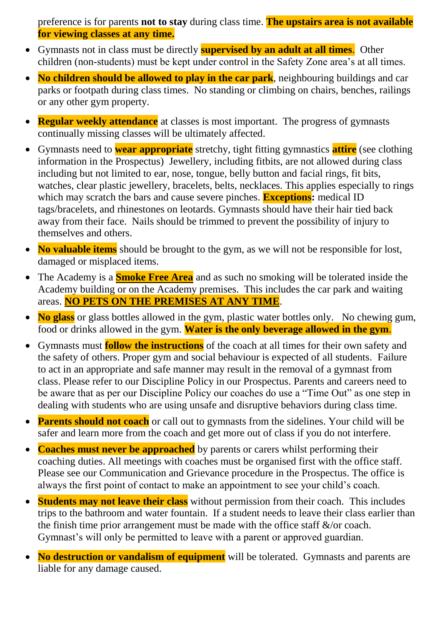preference is for parents **not to stay** during class time. **The upstairs area is not available for viewing classes at any time.**

- Gymnasts not in class must be directly **supervised by an adult at all times**. Other children (non-students) must be kept under control in the Safety Zone area's at all times.
- **No children should be allowed to play in the car park**, neighbouring buildings and car parks or footpath during class times. No standing or climbing on chairs, benches, railings or any other gym property.
- **Regular weekly attendance** at classes is most important. The progress of gymnasts continually missing classes will be ultimately affected.
- Gymnasts need to **wear appropriate** stretchy, tight fitting gymnastics **attire** (see clothing information in the Prospectus) Jewellery, including fitbits, are not allowed during class including but not limited to ear, nose, tongue, belly button and facial rings, fit bits, watches, clear plastic jewellery, bracelets, belts, necklaces. This applies especially to rings which may scratch the bars and cause severe pinches. **Exceptions:** medical ID tags/bracelets, and rhinestones on leotards. Gymnasts should have their hair tied back away from their face. Nails should be trimmed to prevent the possibility of injury to themselves and others.
- No valuable items should be brought to the gym, as we will not be responsible for lost, damaged or misplaced items.
- The Academy is a **Smoke Free Area** and as such no smoking will be tolerated inside the Academy building or on the Academy premises. This includes the car park and waiting areas. **NO PETS ON THE PREMISES AT ANY TIME**.
- No glass or glass bottles allowed in the gym, plastic water bottles only. No chewing gum, food or drinks allowed in the gym. **Water is the only beverage allowed in the gym**.
- Gymnasts must **follow the instructions** of the coach at all times for their own safety and the safety of others. Proper gym and social behaviour is expected of all students. Failure to act in an appropriate and safe manner may result in the removal of a gymnast from class. Please refer to our Discipline Policy in our Prospectus. Parents and careers need to be aware that as per our Discipline Policy our coaches do use a "Time Out" as one step in dealing with students who are using unsafe and disruptive behaviors during class time.
- **Parents should not coach** or call out to gymnasts from the sidelines. Your child will be safer and learn more from the coach and get more out of class if you do not interfere.
- **Coaches must never be approached** by parents or carers whilst performing their coaching duties. All meetings with coaches must be organised first with the office staff. Please see our Communication and Grievance procedure in the Prospectus. The office is always the first point of contact to make an appointment to see your child's coach.
- **Students may not leave their class** without permission from their coach. This includes trips to the bathroom and water fountain. If a student needs to leave their class earlier than the finish time prior arrangement must be made with the office staff  $\&$ /or coach. Gymnast's will only be permitted to leave with a parent or approved guardian.
- **No destruction or vandalism of equipment** will be tolerated. Gymnasts and parents are liable for any damage caused.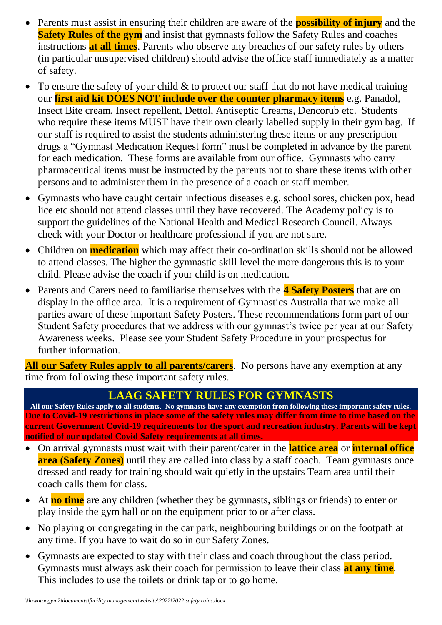- Parents must assist in ensuring their children are aware of the **possibility of injury** and the **Safety Rules of the gym** and insist that gymnasts follow the Safety Rules and coaches instructions **at all times**. Parents who observe any breaches of our safety rules by others (in particular unsupervised children) should advise the office staff immediately as a matter of safety.
- To ensure the safety of your child  $&$  to protect our staff that do not have medical training our **first aid kit DOES NOT include over the counter pharmacy items** e.g. Panadol, Insect Bite cream, Insect repellent, Dettol, Antiseptic Creams, Dencorub etc. Students who require these items MUST have their own clearly labelled supply in their gym bag. If our staff is required to assist the students administering these items or any prescription drugs a "Gymnast Medication Request form" must be completed in advance by the parent for each medication. These forms are available from our office. Gymnasts who carry pharmaceutical items must be instructed by the parents not to share these items with other persons and to administer them in the presence of a coach or staff member.
- Gymnasts who have caught certain infectious diseases e.g. school sores, chicken pox, head lice etc should not attend classes until they have recovered. The Academy policy is to support the guidelines of the National Health and Medical Research Council. Always check with your Doctor or healthcare professional if you are not sure.
- Children on **medication** which may affect their co-ordination skills should not be allowed to attend classes. The higher the gymnastic skill level the more dangerous this is to your child. Please advise the coach if your child is on medication.
- Parents and Carers need to familiarise themselves with the **4 Safety Posters** that are on display in the office area. It is a requirement of Gymnastics Australia that we make all parties aware of these important Safety Posters. These recommendations form part of our Student Safety procedures that we address with our gymnast's twice per year at our Safety Awareness weeks. Please see your Student Safety Procedure in your prospectus for further information.

**All our Safety Rules apply to all parents/carers**. No persons have any exemption at any time from following these important safety rules.

## **LAAG SAFETY RULES FOR GYMNASTS**

**All our Safety Rules apply to all students. No gymnasts have any exemption from following these important safety rules. Due to Covid-19 restrictions in place some of the safety rules may differ from time to time based on the current Government Covid-19 requirements for the sport and recreation industry. Parents will be kept notified of our updated Covid Safety requirements at all times.**

- On arrival gymnasts must wait with their parent/carer in the **lattice area** or **internal office area (Safety Zones)** until they are called into class by a staff coach. Team gymnasts once dressed and ready for training should wait quietly in the upstairs Team area until their coach calls them for class.
- At **no time** are any children (whether they be gymnasts, siblings or friends) to enter or play inside the gym hall or on the equipment prior to or after class.
- No playing or congregating in the car park, neighbouring buildings or on the footpath at any time. If you have to wait do so in our Safety Zones.
- Gymnasts are expected to stay with their class and coach throughout the class period. Gymnasts must always ask their coach for permission to leave their class **at any time**. This includes to use the toilets or drink tap or to go home.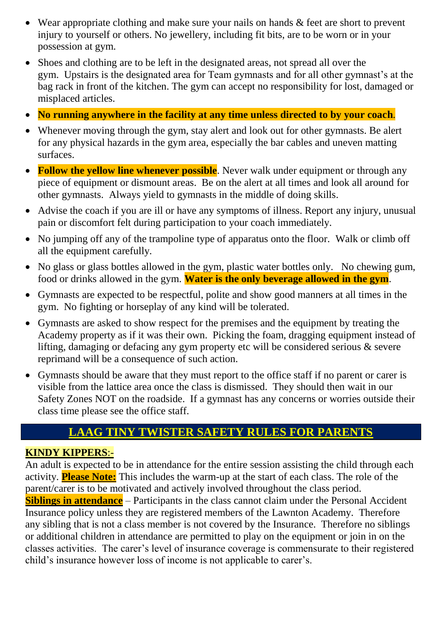- Wear appropriate clothing and make sure your nails on hands & feet are short to prevent injury to yourself or others. No jewellery, including fit bits, are to be worn or in your possession at gym.
- Shoes and clothing are to be left in the designated areas, not spread all over the gym. Upstairs is the designated area for Team gymnasts and for all other gymnast's at the bag rack in front of the kitchen. The gym can accept no responsibility for lost, damaged or misplaced articles.
- **No running anywhere in the facility at any time unless directed to by your coach**.
- Whenever moving through the gym, stay alert and look out for other gymnasts. Be alert for any physical hazards in the gym area, especially the bar cables and uneven matting surfaces.
- **Follow the yellow line whenever possible**. Never walk under equipment or through any piece of equipment or dismount areas. Be on the alert at all times and look all around for other gymnasts. Always yield to gymnasts in the middle of doing skills.
- Advise the coach if you are ill or have any symptoms of illness. Report any injury, unusual pain or discomfort felt during participation to your coach immediately.
- No jumping off any of the trampoline type of apparatus onto the floor. Walk or climb off all the equipment carefully.
- No glass or glass bottles allowed in the gym, plastic water bottles only. No chewing gum, food or drinks allowed in the gym. **Water is the only beverage allowed in the gym**.
- Gymnasts are expected to be respectful, polite and show good manners at all times in the gym. No fighting or horseplay of any kind will be tolerated.
- Gymnasts are asked to show respect for the premises and the equipment by treating the Academy property as if it was their own. Picking the foam, dragging equipment instead of lifting, damaging or defacing any gym property etc will be considered serious & severe reprimand will be a consequence of such action.
- Gymnasts should be aware that they must report to the office staff if no parent or carer is visible from the lattice area once the class is dismissed. They should then wait in our Safety Zones NOT on the roadside. If a gymnast has any concerns or worries outside their class time please see the office staff.

# **LAAG TINY TWISTER SAFETY RULES FOR PARENTS**

### **KINDY KIPPERS**:-

An adult is expected to be in attendance for the entire session assisting the child through each activity. **Please Note:** This includes the warm-up at the start of each class. The role of the parent/carer is to be motivated and actively involved throughout the class period. **Siblings in attendance** – Participants in the class cannot claim under the Personal Accident Insurance policy unless they are registered members of the Lawnton Academy. Therefore any sibling that is not a class member is not covered by the Insurance. Therefore no siblings or additional children in attendance are permitted to play on the equipment or join in on the classes activities. The carer's level of insurance coverage is commensurate to their registered child's insurance however loss of income is not applicable to carer's.